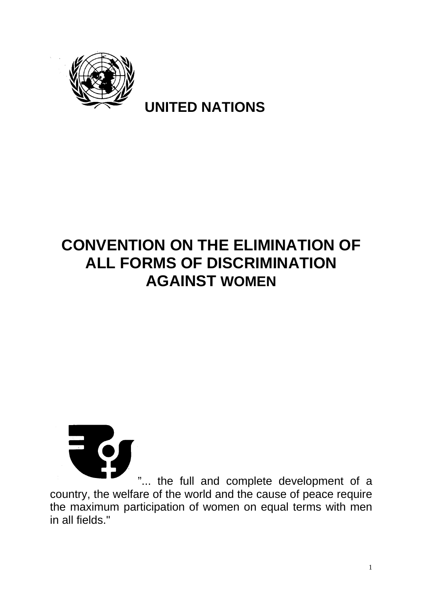

# **UNITED NATIONS**

# **CONVENTION ON THE ELIMINATION OF ALL FORMS OF DISCRIMINATION AGAINST WOMEN**



"... the full and complete development of a country, the welfare of the world and the cause of peace require the maximum participation of women on equal terms with men in all fields."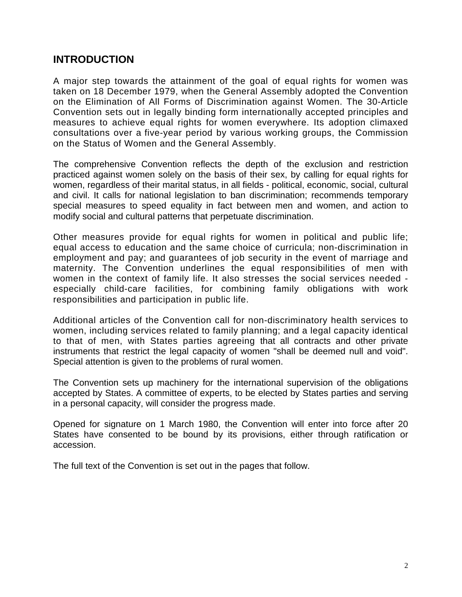# **INTRODUCTION**

A major step towards the attainment of the goal of equal rights for women was taken on 18 December 1979, when the General Assembly adopted the Convention on the Elimination of All Forms of Discrimination against Women. The 30-Article Convention sets out in legally binding form internationally accepted principles and measures to achieve equal rights for women everywhere. Its adoption climaxed consultations over a five-year period by various working groups, the Commission on the Status of Women and the General Assembly.

The comprehensive Convention reflects the depth of the exclusion and restriction practiced against women solely on the basis of their sex, by calling for equal rights for women, regardless of their marital status, in all fields - political, economic, social, cultural and civil. It calls for national legislation to ban discrimination; recommends temporary special measures to speed equality in fact between men and women, and action to modify social and cultural patterns that perpetuate discrimination.

Other measures provide for equal rights for women in political and public life; equal access to education and the same choice of curricula; non-discrimination in employment and pay; and guarantees of job security in the event of marriage and maternity. The Convention underlines the equal responsibilities of men with women in the context of family life. It also stresses the social services needed especially child-care facilities, for combining family obligations with work responsibilities and participation in public life.

Additional articles of the Convention call for non-discriminatory health services to women, including services related to family planning; and a legal capacity identical to that of men, with States parties agreeing that all contracts and other private instruments that restrict the legal capacity of women "shall be deemed null and void". Special attention is given to the problems of rural women.

The Convention sets up machinery for the international supervision of the obligations accepted by States. A committee of experts, to be elected by States parties and serving in a personal capacity, will consider the progress made.

Opened for signature on 1 March 1980, the Convention will enter into force after 20 States have consented to be bound by its provisions, either through ratification or accession.

The full text of the Convention is set out in the pages that follow.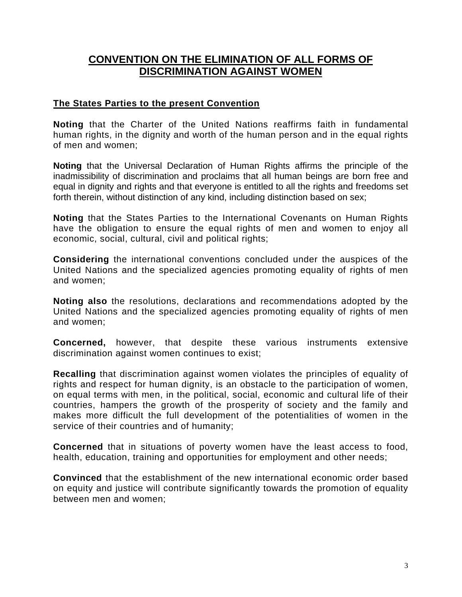# **CONVENTION ON THE ELIMINATION OF ALL FORMS OF DISCRIMINATION AGAINST WOMEN**

#### **The States Parties to the present Convention**

**Noting** that the Charter of the United Nations reaffirms faith in fundamental human rights, in the dignity and worth of the human person and in the equal rights of men and women;

**Noting** that the Universal Declaration of Human Rights affirms the principle of the inadmissibility of discrimination and proclaims that all human beings are born free and equal in dignity and rights and that everyone is entitled to all the rights and freedoms set forth therein, without distinction of any kind, including distinction based on sex;

**Noting** that the States Parties to the International Covenants on Human Rights have the obligation to ensure the equal rights of men and women to enjoy all economic, social, cultural, civil and political rights;

**Considering** the international conventions concluded under the auspices of the United Nations and the specialized agencies promoting equality of rights of men and women;

**Noting also** the resolutions, declarations and recommendations adopted by the United Nations and the specialized agencies promoting equality of rights of men and women;

**Concerned,** however, that despite these various instruments extensive discrimination against women continues to exist;

**Recalling** that discrimination against women violates the principles of equality of rights and respect for human dignity, is an obstacle to the participation of women, on equal terms with men, in the political, social, economic and cultural life of their countries, hampers the growth of the prosperity of society and the family and makes more difficult the full development of the potentialities of women in the service of their countries and of humanity;

**Concerned** that in situations of poverty women have the least access to food, health, education, training and opportunities for employment and other needs;

**Convinced** that the establishment of the new international economic order based on equity and justice will contribute significantly towards the promotion of equality between men and women;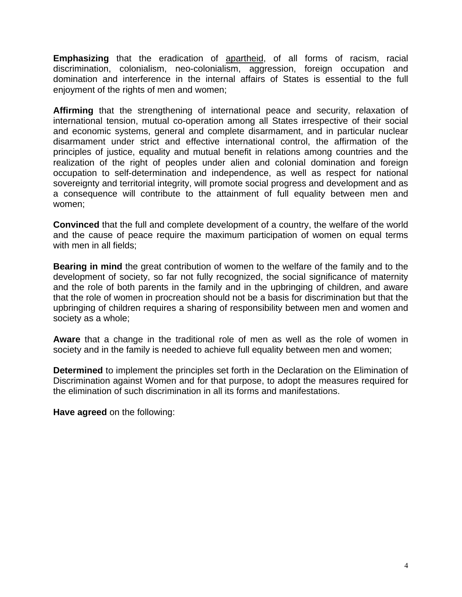**Emphasizing** that the eradication of apartheid, of all forms of racism, racial discrimination, colonialism, neo-colonialism, aggression, foreign occupation and domination and interference in the internal affairs of States is essential to the full enjoyment of the rights of men and women;

**Affirming** that the strengthening of international peace and security, relaxation of international tension, mutual co-operation among all States irrespective of their social and economic systems, general and complete disarmament, and in particular nuclear disarmament under strict and effective international control, the affirmation of the principles of justice, equality and mutual benefit in relations among countries and the realization of the right of peoples under alien and colonial domination and foreign occupation to self-determination and independence, as well as respect for national sovereignty and territorial integrity, will promote social progress and development and as a consequence will contribute to the attainment of full equality between men and women;

**Convinced** that the full and complete development of a country, the welfare of the world and the cause of peace require the maximum participation of women on equal terms with men in all fields;

**Bearing in mind** the great contribution of women to the welfare of the family and to the development of society, so far not fully recognized, the social significance of maternity and the role of both parents in the family and in the upbringing of children, and aware that the role of women in procreation should not be a basis for discrimination but that the upbringing of children requires a sharing of responsibility between men and women and society as a whole;

**Aware** that a change in the traditional role of men as well as the role of women in society and in the family is needed to achieve full equality between men and women;

**Determined** to implement the principles set forth in the Declaration on the Elimination of Discrimination against Women and for that purpose, to adopt the measures required for the elimination of such discrimination in all its forms and manifestations.

**Have agreed** on the following: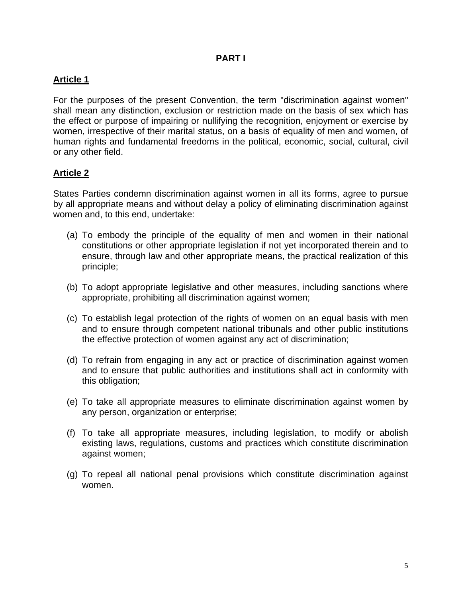#### **PART I**

#### **Article 1**

For the purposes of the present Convention, the term "discrimination against women" shall mean any distinction, exclusion or restriction made on the basis of sex which has the effect or purpose of impairing or nullifying the recognition, enjoyment or exercise by women, irrespective of their marital status, on a basis of equality of men and women, of human rights and fundamental freedoms in the political, economic, social, cultural, civil or any other field.

### **Article 2**

States Parties condemn discrimination against women in all its forms, agree to pursue by all appropriate means and without delay a policy of eliminating discrimination against women and, to this end, undertake:

- (a) To embody the principle of the equality of men and women in their national constitutions or other appropriate legislation if not yet incorporated therein and to ensure, through law and other appropriate means, the practical realization of this principle;
- (b) To adopt appropriate legislative and other measures, including sanctions where appropriate, prohibiting all discrimination against women;
- (c) To establish legal protection of the rights of women on an equal basis with men and to ensure through competent national tribunals and other public institutions the effective protection of women against any act of discrimination;
- (d) To refrain from engaging in any act or practice of discrimination against women and to ensure that public authorities and institutions shall act in conformity with this obligation;
- (e) To take all appropriate measures to eliminate discrimination against women by any person, organization or enterprise;
- (f) To take all appropriate measures, including legislation, to modify or abolish existing laws, regulations, customs and practices which constitute discrimination against women;
- (g) To repeal all national penal provisions which constitute discrimination against women.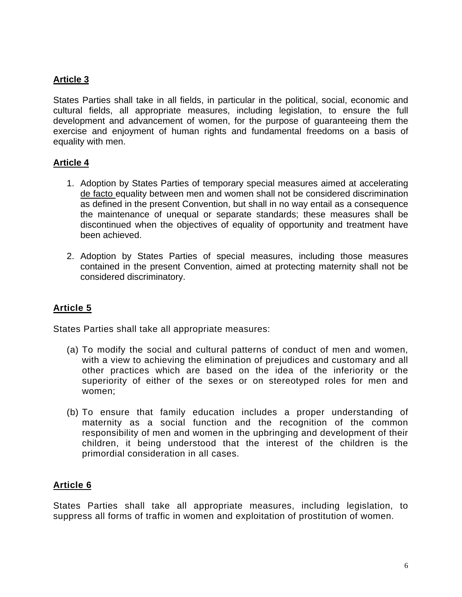States Parties shall take in all fields, in particular in the political, social, economic and cultural fields, all appropriate measures, including legislation, to ensure the full development and advancement of women, for the purpose of guaranteeing them the exercise and enjoyment of human rights and fundamental freedoms on a basis of equality with men.

### **Article 4**

- 1. Adoption by States Parties of temporary special measures aimed at accelerating de facto equality between men and women shall not be considered discrimination as defined in the present Convention, but shall in no way entail as a consequence the maintenance of unequal or separate standards; these measures shall be discontinued when the objectives of equality of opportunity and treatment have been achieved.
- 2. Adoption by States Parties of special measures, including those measures contained in the present Convention, aimed at protecting maternity shall not be considered discriminatory.

# **Article 5**

States Parties shall take all appropriate measures:

- (a) To modify the social and cultural patterns of conduct of men and women, with a view to achieving the elimination of prejudices and customary and all other practices which are based on the idea of the inferiority or the superiority of either of the sexes or on stereotyped roles for men and women;
- (b) To ensure that family education includes a proper understanding of maternity as a social function and the recognition of the common responsibility of men and women in the upbringing and development of their children, it being understood that the interest of the children is the primordial consideration in all cases.

# **Article 6**

States Parties shall take all appropriate measures, including legislation, to suppress all forms of traffic in women and exploitation of prostitution of women.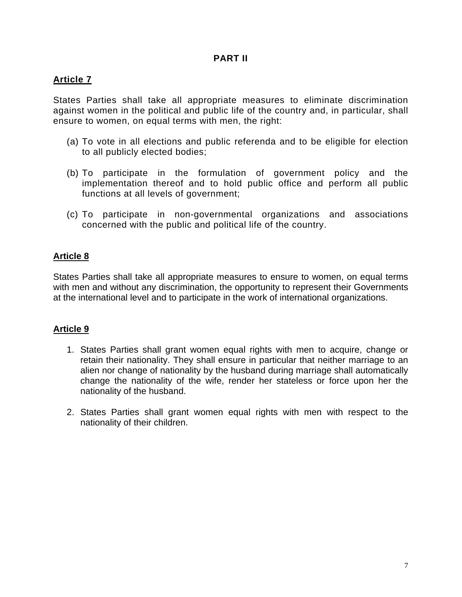# **PART II**

# **Article 7**

States Parties shall take all appropriate measures to eliminate discrimination against women in the political and public life of the country and, in particular, shall ensure to women, on equal terms with men, the right:

- (a) To vote in all elections and public referenda and to be eligible for election to all publicly elected bodies;
- (b) To participate in the formulation of government policy and the implementation thereof and to hold public office and perform all public functions at all levels of government;
- (c) To participate in non-governmental organizations and associations concerned with the public and political life of the country.

### **Article 8**

States Parties shall take all appropriate measures to ensure to women, on equal terms with men and without any discrimination, the opportunity to represent their Governments at the international level and to participate in the work of international organizations.

- 1. States Parties shall grant women equal rights with men to acquire, change or retain their nationality. They shall ensure in particular that neither marriage to an alien nor change of nationality by the husband during marriage shall automatically change the nationality of the wife, render her stateless or force upon her the nationality of the husband.
- 2. States Parties shall grant women equal rights with men with respect to the nationality of their children.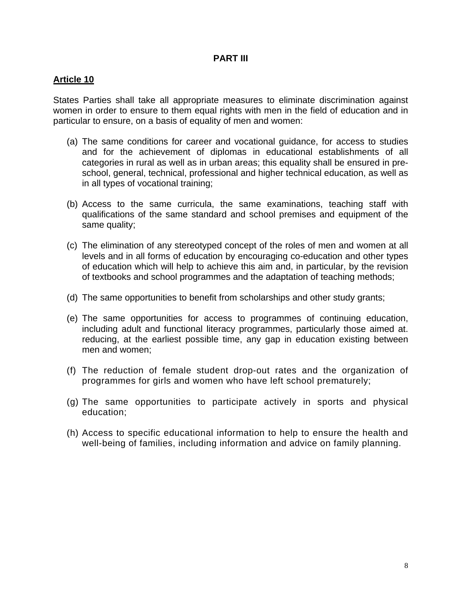#### **PART III**

#### **Article 10**

States Parties shall take all appropriate measures to eliminate discrimination against women in order to ensure to them equal rights with men in the field of education and in particular to ensure, on a basis of equality of men and women:

- (a) The same conditions for career and vocational guidance, for access to studies and for the achievement of diplomas in educational establishments of all categories in rural as well as in urban areas; this equality shall be ensured in preschool, general, technical, professional and higher technical education, as well as in all types of vocational training;
- (b) Access to the same curricula, the same examinations, teaching staff with qualifications of the same standard and school premises and equipment of the same quality;
- (c) The elimination of any stereotyped concept of the roles of men and women at all levels and in all forms of education by encouraging co-education and other types of education which will help to achieve this aim and, in particular, by the revision of textbooks and school programmes and the adaptation of teaching methods;
- (d) The same opportunities to benefit from scholarships and other study grants;
- (e) The same opportunities for access to programmes of continuing education, including adult and functional literacy programmes, particularly those aimed at. reducing, at the earliest possible time, any gap in education existing between men and women;
- (f) The reduction of female student drop-out rates and the organization of programmes for girls and women who have left school prematurely;
- (g) The same opportunities to participate actively in sports and physical education;
- (h) Access to specific educational information to help to ensure the health and well-being of families, including information and advice on family planning.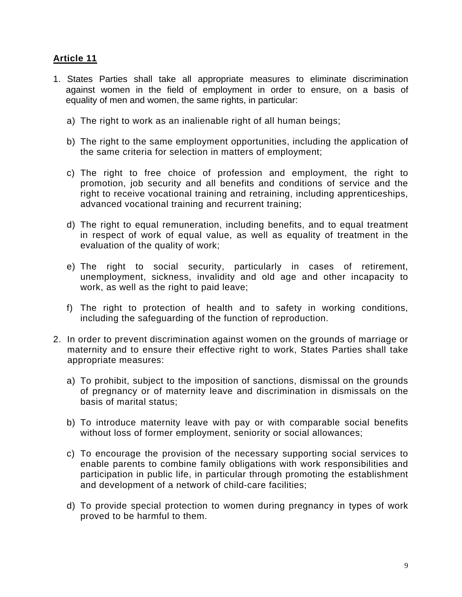- 1. States Parties shall take all appropriate measures to eliminate discrimination against women in the field of employment in order to ensure, on a basis of equality of men and women, the same rights, in particular:
	- a) The right to work as an inalienable right of all human beings;
	- b) The right to the same employment opportunities, including the application of the same criteria for selection in matters of employment;
	- c) The right to free choice of profession and employment, the right to promotion, job security and all benefits and conditions of service and the right to receive vocational training and retraining, including apprenticeships, advanced vocational training and recurrent training;
	- d) The right to equal remuneration, including benefits, and to equal treatment in respect of work of equal value, as well as equality of treatment in the evaluation of the quality of work;
	- e) The right to social security, particularly in cases of retirement, unemployment, sickness, invalidity and old age and other incapacity to work, as well as the right to paid leave;
	- f) The right to protection of health and to safety in working conditions, including the safeguarding of the function of reproduction.
- 2. In order to prevent discrimination against women on the grounds of marriage or maternity and to ensure their effective right to work, States Parties shall take appropriate measures:
	- a) To prohibit, subject to the imposition of sanctions, dismissal on the grounds of pregnancy or of maternity leave and discrimination in dismissals on the basis of marital status;
	- b) To introduce maternity leave with pay or with comparable social benefits without loss of former employment, seniority or social allowances;
	- c) To encourage the provision of the necessary supporting social services to enable parents to combine family obligations with work responsibilities and participation in public life, in particular through promoting the establishment and development of a network of child-care facilities;
	- d) To provide special protection to women during pregnancy in types of work proved to be harmful to them.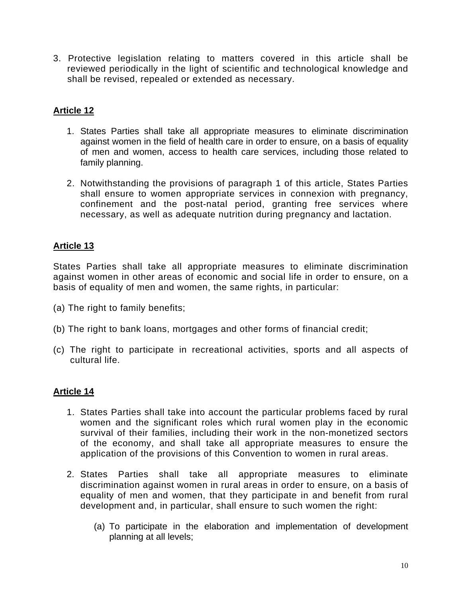3. Protective legislation relating to matters covered in this article shall be reviewed periodically in the light of scientific and technological knowledge and shall be revised, repealed or extended as necessary.

# **Article 12**

- 1. States Parties shall take all appropriate measures to eliminate discrimination against women in the field of health care in order to ensure, on a basis of equality of men and women, access to health care services, including those related to family planning.
- 2. Notwithstanding the provisions of paragraph 1 of this article, States Parties shall ensure to women appropriate services in connexion with pregnancy, confinement and the post-natal period, granting free services where necessary, as well as adequate nutrition during pregnancy and lactation.

# **Article 13**

States Parties shall take all appropriate measures to eliminate discrimination against women in other areas of economic and social life in order to ensure, on a basis of equality of men and women, the same rights, in particular:

- (a) The right to family benefits;
- (b) The right to bank loans, mortgages and other forms of financial credit;
- (c) The right to participate in recreational activities, sports and all aspects of cultural life.

- 1. States Parties shall take into account the particular problems faced by rural women and the significant roles which rural women play in the economic survival of their families, including their work in the non-monetized sectors of the economy, and shall take all appropriate measures to ensure the application of the provisions of this Convention to women in rural areas.
- 2. States Parties shall take all appropriate measures to eliminate discrimination against women in rural areas in order to ensure, on a basis of equality of men and women, that they participate in and benefit from rural development and, in particular, shall ensure to such women the right:
	- (a) To participate in the elaboration and implementation of development planning at all levels;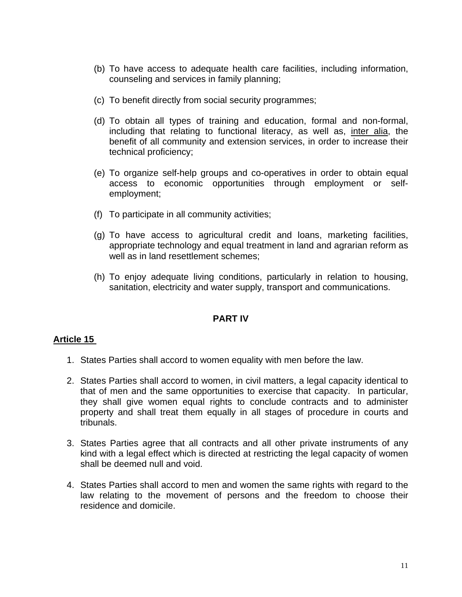- (b) To have access to adequate health care facilities, including information, counseling and services in family planning;
- (c) To benefit directly from social security programmes;
- (d) To obtain all types of training and education, formal and non-formal, including that relating to functional literacy, as well as, inter alia, the benefit of all community and extension services, in order to increase their technical proficiency;
- (e) To organize self-help groups and co-operatives in order to obtain equal access to economic opportunities through employment or selfemployment;
- (f) To participate in all community activities;
- (g) To have access to agricultural credit and loans, marketing facilities, appropriate technology and equal treatment in land and agrarian reform as well as in land resettlement schemes;
- (h) To enjoy adequate living conditions, particularly in relation to housing, sanitation, electricity and water supply, transport and communications.

### **PART IV**

- 1. States Parties shall accord to women equality with men before the law.
- 2. States Parties shall accord to women, in civil matters, a legal capacity identical to that of men and the same opportunities to exercise that capacity. In particular, they shall give women equal rights to conclude contracts and to administer property and shall treat them equally in all stages of procedure in courts and tribunals.
- 3. States Parties agree that all contracts and all other private instruments of any kind with a legal effect which is directed at restricting the legal capacity of women shall be deemed null and void.
- 4. States Parties shall accord to men and women the same rights with regard to the law relating to the movement of persons and the freedom to choose their residence and domicile.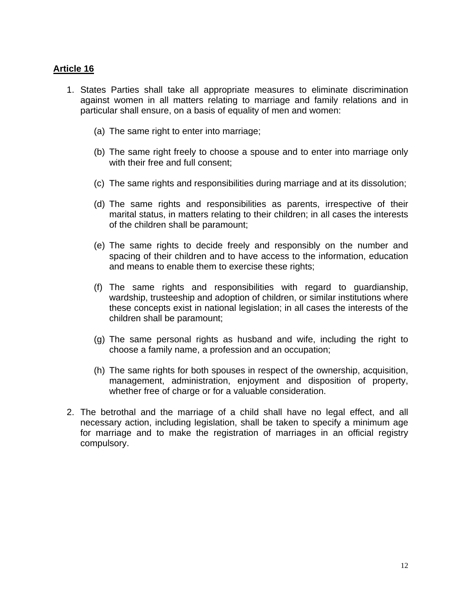- 1. States Parties shall take all appropriate measures to eliminate discrimination against women in all matters relating to marriage and family relations and in particular shall ensure, on a basis of equality of men and women:
	- (a) The same right to enter into marriage;
	- (b) The same right freely to choose a spouse and to enter into marriage only with their free and full consent;
	- (c) The same rights and responsibilities during marriage and at its dissolution;
	- (d) The same rights and responsibilities as parents, irrespective of their marital status, in matters relating to their children; in all cases the interests of the children shall be paramount;
	- (e) The same rights to decide freely and responsibly on the number and spacing of their children and to have access to the information, education and means to enable them to exercise these rights;
	- (f) The same rights and responsibilities with regard to guardianship, wardship, trusteeship and adoption of children, or similar institutions where these concepts exist in national legislation; in all cases the interests of the children shall be paramount;
	- (g) The same personal rights as husband and wife, including the right to choose a family name, a profession and an occupation;
	- (h) The same rights for both spouses in respect of the ownership, acquisition, management, administration, enjoyment and disposition of property, whether free of charge or for a valuable consideration.
- 2. The betrothal and the marriage of a child shall have no legal effect, and all necessary action, including legislation, shall be taken to specify a minimum age for marriage and to make the registration of marriages in an official registry compulsory.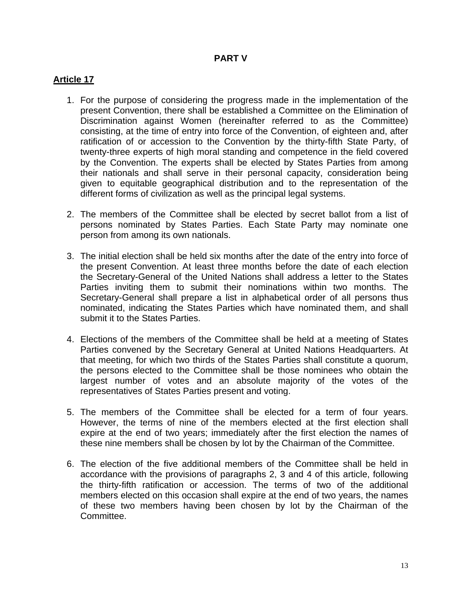#### **PART V**

- 1. For the purpose of considering the progress made in the implementation of the present Convention, there shall be established a Committee on the Elimination of Discrimination against Women (hereinafter referred to as the Committee) consisting, at the time of entry into force of the Convention, of eighteen and, after ratification of or accession to the Convention by the thirty-fifth State Party, of twenty-three experts of high moral standing and competence in the field covered by the Convention. The experts shall be elected by States Parties from among their nationals and shall serve in their personal capacity, consideration being given to equitable geographical distribution and to the representation of the different forms of civilization as well as the principal legal systems.
- 2. The members of the Committee shall be elected by secret ballot from a list of persons nominated by States Parties. Each State Party may nominate one person from among its own nationals.
- 3. The initial election shall be held six months after the date of the entry into force of the present Convention. At least three months before the date of each election the Secretary-General of the United Nations shall address a letter to the States Parties inviting them to submit their nominations within two months. The Secretary-General shall prepare a list in alphabetical order of all persons thus nominated, indicating the States Parties which have nominated them, and shall submit it to the States Parties.
- 4. Elections of the members of the Committee shall be held at a meeting of States Parties convened by the Secretary General at United Nations Headquarters. At that meeting, for which two thirds of the States Parties shall constitute a quorum, the persons elected to the Committee shall be those nominees who obtain the largest number of votes and an absolute majority of the votes of the representatives of States Parties present and voting.
- 5. The members of the Committee shall be elected for a term of four years. However, the terms of nine of the members elected at the first election shall expire at the end of two years; immediately after the first election the names of these nine members shall be chosen by lot by the Chairman of the Committee.
- 6. The election of the five additional members of the Committee shall be held in accordance with the provisions of paragraphs 2, 3 and 4 of this article, following the thirty-fifth ratification or accession. The terms of two of the additional members elected on this occasion shall expire at the end of two years, the names of these two members having been chosen by lot by the Chairman of the Committee.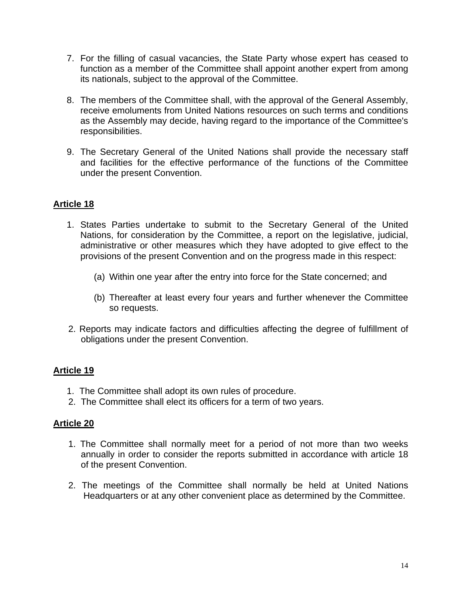- 7. For the filling of casual vacancies, the State Party whose expert has ceased to function as a member of the Committee shall appoint another expert from among its nationals, subject to the approval of the Committee.
- 8. The members of the Committee shall, with the approval of the General Assembly, receive emoluments from United Nations resources on such terms and conditions as the Assembly may decide, having regard to the importance of the Committee's responsibilities.
- 9. The Secretary General of the United Nations shall provide the necessary staff and facilities for the effective performance of the functions of the Committee under the present Convention.

- 1. States Parties undertake to submit to the Secretary General of the United Nations, for consideration by the Committee, a report on the legislative, judicial, administrative or other measures which they have adopted to give effect to the provisions of the present Convention and on the progress made in this respect:
	- (a) Within one year after the entry into force for the State concerned; and
	- (b) Thereafter at least every four years and further whenever the Committee so requests.
- 2. Reports may indicate factors and difficulties affecting the degree of fulfillment of obligations under the present Convention.

# **Article 19**

- 1. The Committee shall adopt its own rules of procedure.
- 2. The Committee shall elect its officers for a term of two years.

- 1. The Committee shall normally meet for a period of not more than two weeks annually in order to consider the reports submitted in accordance with article 18 of the present Convention.
- 2. The meetings of the Committee shall normally be held at United Nations Headquarters or at any other convenient place as determined by the Committee.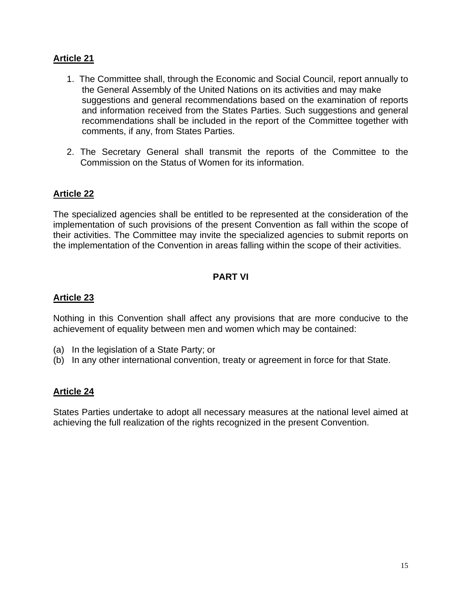- 1. The Committee shall, through the Economic and Social Council, report annually to the General Assembly of the United Nations on its activities and may make suggestions and general recommendations based on the examination of reports and information received from the States Parties. Such suggestions and general recommendations shall be included in the report of the Committee together with comments, if any, from States Parties.
- 2. The Secretary General shall transmit the reports of the Committee to the Commission on the Status of Women for its information.

#### **Article 22**

The specialized agencies shall be entitled to be represented at the consideration of the implementation of such provisions of the present Convention as fall within the scope of their activities. The Committee may invite the specialized agencies to submit reports on the implementation of the Convention in areas falling within the scope of their activities.

#### **PART VI**

#### **Article 23**

Nothing in this Convention shall affect any provisions that are more conducive to the achievement of equality between men and women which may be contained:

- (a) In the legislation of a State Party; or
- (b) In any other international convention, treaty or agreement in force for that State.

#### **Article 24**

States Parties undertake to adopt all necessary measures at the national level aimed at achieving the full realization of the rights recognized in the present Convention.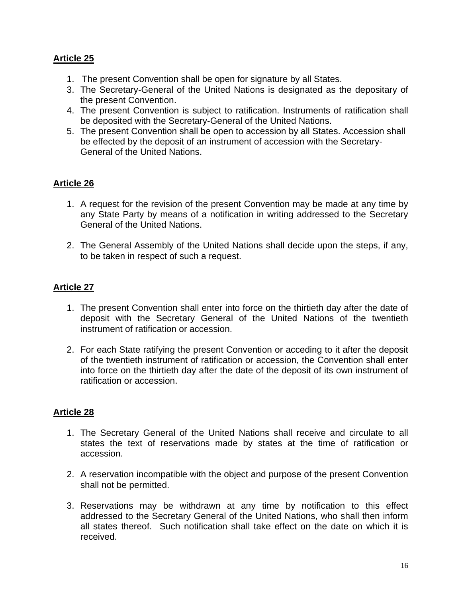- 1. The present Convention shall be open for signature by all States.
- 3. The Secretary-General of the United Nations is designated as the depositary of the present Convention.
- 4. The present Convention is subject to ratification. Instruments of ratification shall be deposited with the Secretary-General of the United Nations.
- 5. The present Convention shall be open to accession by all States. Accession shall be effected by the deposit of an instrument of accession with the Secretary-General of the United Nations.

# **Article 26**

- 1. A request for the revision of the present Convention may be made at any time by any State Party by means of a notification in writing addressed to the Secretary General of the United Nations.
- 2. The General Assembly of the United Nations shall decide upon the steps, if any, to be taken in respect of such a request.

# **Article 27**

- 1. The present Convention shall enter into force on the thirtieth day after the date of deposit with the Secretary General of the United Nations of the twentieth instrument of ratification or accession.
- 2. For each State ratifying the present Convention or acceding to it after the deposit of the twentieth instrument of ratification or accession, the Convention shall enter into force on the thirtieth day after the date of the deposit of its own instrument of ratification or accession.

- 1. The Secretary General of the United Nations shall receive and circulate to all states the text of reservations made by states at the time of ratification or accession.
- 2. A reservation incompatible with the object and purpose of the present Convention shall not be permitted.
- 3. Reservations may be withdrawn at any time by notification to this effect addressed to the Secretary General of the United Nations, who shall then inform all states thereof. Such notification shall take effect on the date on which it is received.